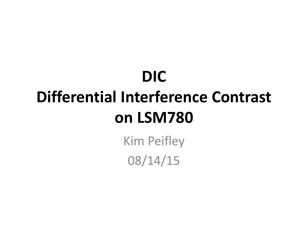## **DIC Differential Interference Contrast on LSM780**

Kim Peifley 08/14/15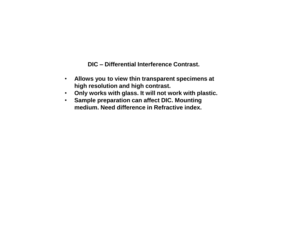**DIC – Differential Interference Contrast.** 

- **Allows you to view thin transparent specimens at high resolution and high contrast.**
- **Only works with glass. It will not work with plastic.**
- **Sample preparation can affect DIC. Mounting medium. Need difference in Refractive index.**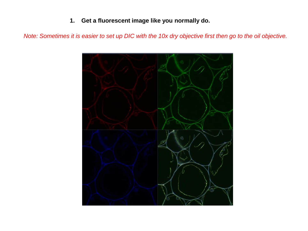## **1. Get a fluorescent image like you normally do.**

*Note: Sometimes it is easier to set up DIC with the 10x dry objective first then go to the oil objective.*

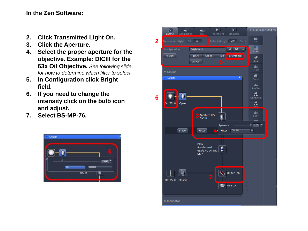**In the Zen Software:**

- **2. Click Transmitted Light On.**
- **3. Click the Aperture.**
- **4. Select the proper aperture for the objective. Example: DICIII for the 63x Oil Objective.** *See following slide for how to determine which filter to select.*
- **5. In Configuration click Bright field.**
- **6. If you need to change the intensity click on the bulb icon and adjust.**
- **7. Select BS-MP-76.**



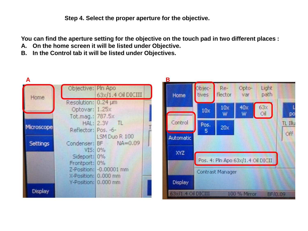**Step 4. Select the proper aperture for the objective.**

**You can find the aperture setting for the objective on the touch pad in two different places :**

- **A. On the home screen it will be listed under Objective.**
- **B. In the Control tab it will be listed under Objectives.**

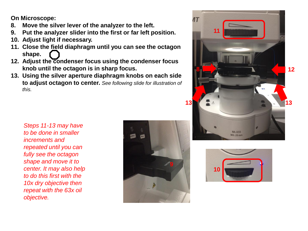**On Microscope:**

- **8. Move the silver lever of the analyzer to the left.**
- **9. Put the analyzer slider into the first or far left position.**
- **10. Adjust light if necessary.**
- **11. Close the field diaphragm until you can see the octagon shape.**
- **12. Adjust the condenser focus using the condenser focus knob until the octagon is in sharp focus.**
- **13. Using the silver aperture diaphragm knobs on each side to adjust octagon to center.** *See following slide for illustration of this.*



*Steps 11-13 may have to be done in smaller increments and repeated until you can fully see the octagon shape and move it to center. It may also help to do this first with the 10x dry objective then repeat with the 63x oil objective.* 



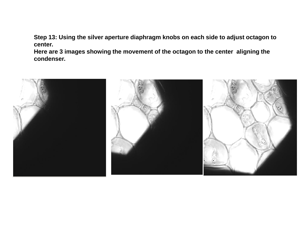**Step 13: Using the silver aperture diaphragm knobs on each side to adjust octagon to center.**

**Here are 3 images showing the movement of the octagon to the center aligning the condenser.**

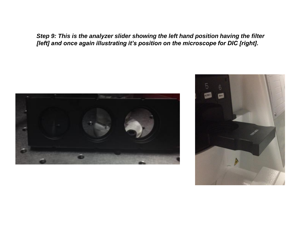*Step 9: This is the analyzer slider showing the left hand position having the filter [left] and once again illustrating it's position on the microscope for DIC [right].*

![](_page_7_Picture_1.jpeg)

![](_page_7_Picture_2.jpeg)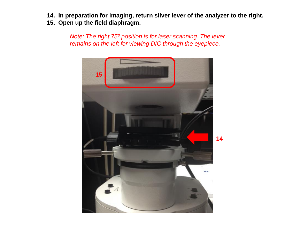- **14. In preparation for imaging, return silver lever of the analyzer to the right.**
- **15. Open up the field diaphragm.**

*Note: The right 75º position is for laser scanning. The lever remains on the left for viewing DIC through the eyepiece.* 

![](_page_8_Picture_3.jpeg)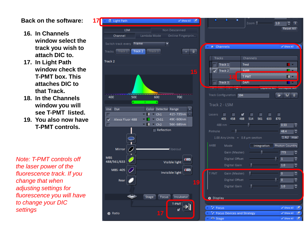## **Back on the software:**

- **16. In Channels window select the track you wish to attach DIC to.**
- **17. In Light Path window check the T-PMT box. This attaches DIC to that Track.**
- **18. In the Channels window you will see T-PMT listed.**
- **19. You also now have T-PMT controls.**

*Note: T-PMT controls off the laser power of the fluorescence track. If you change that when adjusting settings for fluorescence you will have to change your DIC settings*

![](_page_9_Picture_6.jpeg)

|                                                                | .                                             |                                                                                                                 | Zoom $\begin{bmatrix} 1 & 1 & 0 \\ 0 & 1 & 1 \end{bmatrix}$<br><b>Reset All</b>                                                                                                                                                                                                                                                                                                                                                                         |
|----------------------------------------------------------------|-----------------------------------------------|-----------------------------------------------------------------------------------------------------------------|---------------------------------------------------------------------------------------------------------------------------------------------------------------------------------------------------------------------------------------------------------------------------------------------------------------------------------------------------------------------------------------------------------------------------------------------------------|
| LA Channels                                                    |                                               |                                                                                                                 | Show All<br>œ                                                                                                                                                                                                                                                                                                                                                                                                                                           |
|                                                                |                                               |                                                                                                                 |                                                                                                                                                                                                                                                                                                                                                                                                                                                         |
| <b>Tracks</b>                                                  |                                               | Channels                                                                                                        |                                                                                                                                                                                                                                                                                                                                                                                                                                                         |
| $\Box$ Track 1                                                 |                                               | <b>Tred</b>                                                                                                     |                                                                                                                                                                                                                                                                                                                                                                                                                                                         |
| $\sqrt{ \text{Track } 2 }$                                     |                                               | <b>A488</b>                                                                                                     |                                                                                                                                                                                                                                                                                                                                                                                                                                                         |
|                                                                | 18                                            | <b>T PMT</b>                                                                                                    | ╻                                                                                                                                                                                                                                                                                                                                                                                                                                                       |
| п                                                              | Track 3                                       | DAPI <sup>D</sup>                                                                                               | <b>Expansion in Compact Address</b>                                                                                                                                                                                                                                                                                                                                                                                                                     |
|                                                                | <u> Transformation with the second second</u> |                                                                                                                 |                                                                                                                                                                                                                                                                                                                                                                                                                                                         |
|                                                                | Track Configuration 594                       |                                                                                                                 | $\bullet$<br>н<br>▥                                                                                                                                                                                                                                                                                                                                                                                                                                     |
| Track 2 - LSM                                                  |                                               |                                                                                                                 |                                                                                                                                                                                                                                                                                                                                                                                                                                                         |
| Lasers <b>J J V J</b> 14<br>405 458 488 514 561 633 870<br>870 |                                               |                                                                                                                 |                                                                                                                                                                                                                                                                                                                                                                                                                                                         |
|                                                                |                                               |                                                                                                                 | $-0.53$<br>÷.                                                                                                                                                                                                                                                                                                                                                                                                                                           |
|                                                                |                                               | Pinhole $\begin{array}{ c c c }\n\hline\n-\hline\n\end{array}$ $\begin{array}{ c c }\n\hline\n\end{array}$ 48.4 | ÷                                                                                                                                                                                                                                                                                                                                                                                                                                                       |
| $1.00$ Airy Units = $0.8$ $\mu$ m section                      |                                               |                                                                                                                 | 1 AU max                                                                                                                                                                                                                                                                                                                                                                                                                                                |
| A488                                                           | Mode                                          |                                                                                                                 | Integration Photon Counting                                                                                                                                                                                                                                                                                                                                                                                                                             |
|                                                                | Gain (Master)                                 | $\overline{\phantom{a}}$ $\overline{\phantom{a}}$ 773                                                           |                                                                                                                                                                                                                                                                                                                                                                                                                                                         |
|                                                                | Digital Offset                                |                                                                                                                 | $\begin{array}{ c c c c }\n\hline\n\text{1} & \text{1}\n\end{array}$                                                                                                                                                                                                                                                                                                                                                                                    |
|                                                                | Digital Gain                                  | $\overline{\mathbb{C}}$                                                                                         | ÷<br>1.0                                                                                                                                                                                                                                                                                                                                                                                                                                                |
| T PMT                                                          | Gain (Master)                                 | $\mathbb{R}$ and $\mathbb{R}$                                                                                   | ÷<br>$\overline{0}$                                                                                                                                                                                                                                                                                                                                                                                                                                     |
|                                                                | Digital Offset                                |                                                                                                                 | $\begin{array}{ c c c c c }\n\hline\n\text{--} & \text{--} & \text{--} & \text{--} \\ \hline\n\text{--} & \text{--} & \text{--} & \text{--} & \text{--} \\ \hline\n\text{--} & \text{--} & \text{--} & \text{--} & \text{--} \\ \hline\n\text{--} & \text{--} & \text{--} & \text{--} & \text{--} \\ \hline\n\text{--} & \text{--} & \text{--} & \text{--} & \text{--} & \text{--} \\ \hline\n\text{--} & \text{--} & \text{--} & \text{--} & \text{--$ |
|                                                                |                                               | Digital Gain ( 1.0                                                                                              |                                                                                                                                                                                                                                                                                                                                                                                                                                                         |
|                                                                |                                               |                                                                                                                 |                                                                                                                                                                                                                                                                                                                                                                                                                                                         |
| O Display                                                      |                                               |                                                                                                                 |                                                                                                                                                                                                                                                                                                                                                                                                                                                         |
| *+ Focus                                                       |                                               |                                                                                                                 | ø<br>Show All                                                                                                                                                                                                                                                                                                                                                                                                                                           |
| <sup>+</sup> + Focus Devices and Strategy                      |                                               |                                                                                                                 | Show All<br>r.                                                                                                                                                                                                                                                                                                                                                                                                                                          |
| $0 + 1 - 1$                                                    |                                               |                                                                                                                 | $\overline{\phantom{a}}$<br><b><i>A. H. Louis A. H.</i></b>                                                                                                                                                                                                                                                                                                                                                                                             |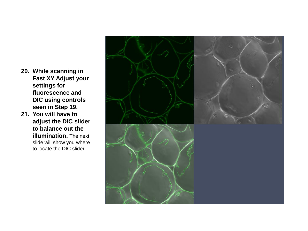- **20. While scanning in Fast XY Adjust your settings for fluorescence and DIC using controls seen in Step 19.**
- **21. You will have to adjust the DIC slider to balance out the illumination.** The next slide will show you where to locate the DIC slider.

![](_page_10_Picture_2.jpeg)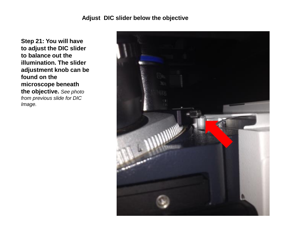## **Adjust DIC slider below the objective**

**Step 21: You will have to adjust the DIC slider to balance out the illumination. The slider adjustment knob can be found on the microscope beneath the objective.** *See photo from previous slide for DIC Image.*

![](_page_11_Picture_2.jpeg)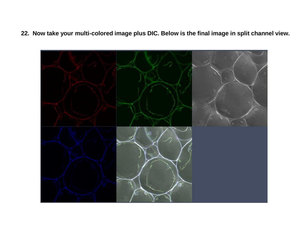**22. Now take your multi-colored image plus DIC. Below is the final image in split channel view.**

![](_page_12_Picture_1.jpeg)